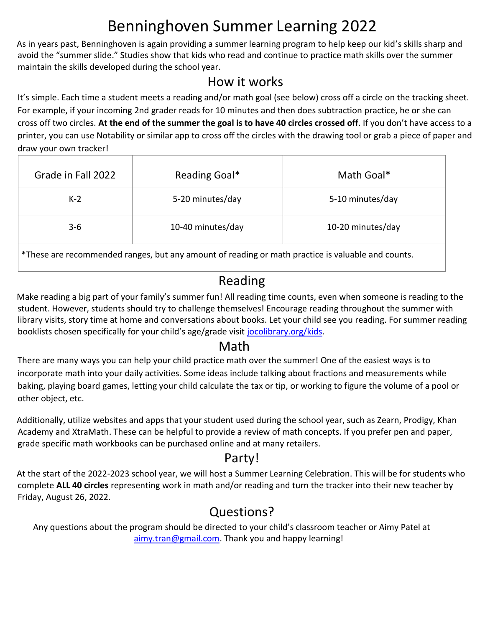# Benninghoven Summer Learning 2022

As in years past, Benninghoven is again providing a summer learning program to help keep our kid's skills sharp and avoid the "summer slide." Studies show that kids who read and continue to practice math skills over the summer maintain the skills developed during the school year.

## How it works

It's simple. Each time a student meets a reading and/or math goal (see below) cross off a circle on the tracking sheet. For example, if your incoming 2nd grader reads for 10 minutes and then does subtraction practice, he or she can cross off two circles. **At the end of the summer the goal is to have 40 circles crossed off**. If you don't have access to a printer, you can use Notability or similar app to cross off the circles with the drawing tool or grab a piece of paper and draw your own tracker!

| Grade in Fall 2022 | Reading Goal*     | Math Goal*        |
|--------------------|-------------------|-------------------|
| $K-2$              | 5-20 minutes/day  | 5-10 minutes/day  |
| $3 - 6$            | 10-40 minutes/day | 10-20 minutes/day |

\*These are recommended ranges, but any amount of reading or math practice is valuable and counts.

## Reading

Make reading a big part of your family's summer fun! All reading time counts, even when someone is reading to the student. However, students should try to challenge themselves! Encourage reading throughout the summer with library visits, story time at home and conversations about books. Let your child see you reading. For summer reading booklists chosen specifically for your child's age/grade visit jocolibrary.org/kids.

#### Math

There are many ways you can help your child practice math over the summer! One of the easiest ways is to incorporate math into your daily activities. Some ideas include talking about fractions and measurements while baking, playing board games, letting your child calculate the tax or tip, or working to figure the volume of a pool or other object, etc.

Additionally, utilize websites and apps that your student used during the school year, such as Zearn, Prodigy, Khan Academy and XtraMath. These can be helpful to provide a review of math concepts. If you prefer pen and paper, grade specific math workbooks can be purchased online and at many retailers.

### Party!

At the start of the 2022-2023 school year, we will host a Summer Learning Celebration. This will be for students who complete **ALL 40 circles** representing work in math and/or reading and turn the tracker into their new teacher by Friday, August 26, 2022.

# Questions?

Any questions about the program should be directed to your child's classroom teacher or Aimy Patel at aimy.tran@gmail.com. Thank you and happy learning!